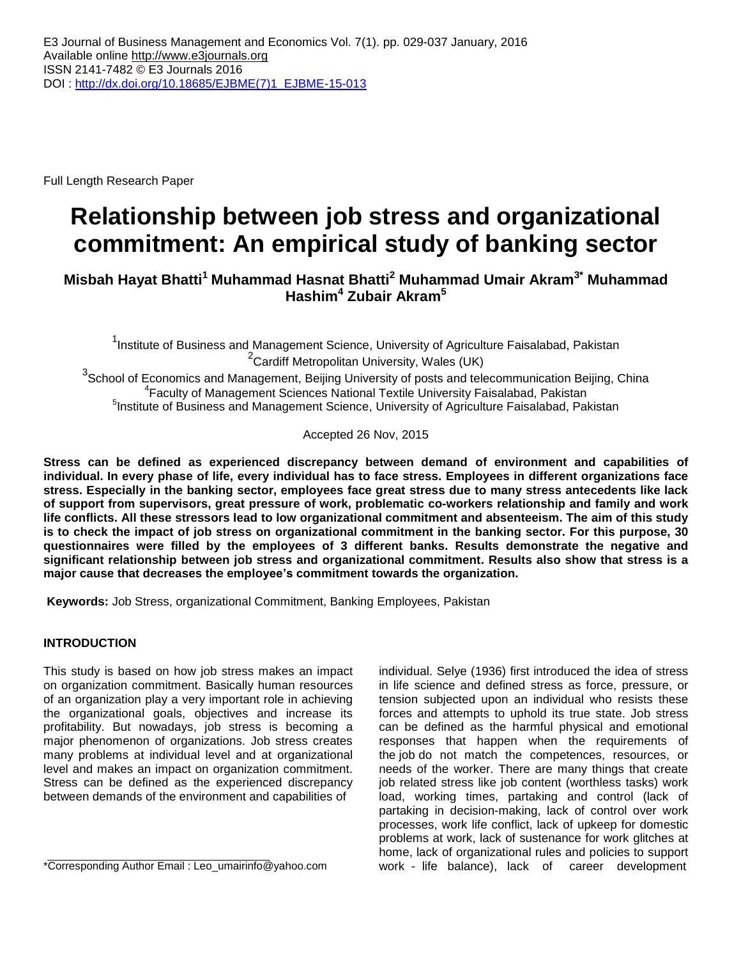Full Length Research Paper

# **Relationship between job stress and organizational commitment: An empirical study of banking sector**

**Misbah Hayat Bhatti<sup>1</sup> Muhammad Hasnat Bhatti<sup>2</sup> Muhammad Umair Akram3\* Muhammad Hashim<sup>4</sup> Zubair Akram<sup>5</sup>**

<sup>1</sup>Institute of Business and Management Science, University of Agriculture Faisalabad, Pakistan <sup>2</sup> Cardiff Metropolitan University, Wales (UK)

 $3$ School of Economics and Management, Beijing University of posts and telecommunication Beijing, China 4 Faculty of Management Sciences National Textile University Faisalabad, Pakistan <sup>5</sup>Institute of Business and Management Science, University of Agriculture Faisalabad, Pakistan

Accepted 26 Nov, 2015

**Stress can be defined as experienced discrepancy between demand of environment and capabilities of individual. In every phase of life, every individual has to face stress. Employees in different organizations face stress. Especially in the banking sector, employees face great stress due to many stress antecedents like lack of support from supervisors, great pressure of work, problematic co-workers relationship and family and work life conflicts. All these stressors lead to low organizational commitment and absenteeism. The aim of this study is to check the impact of job stress on organizational commitment in the banking sector. For this purpose, 30 questionnaires were filled by the employees of 3 different banks. Results demonstrate the negative and significant relationship between job stress and organizational commitment. Results also show that stress is a major cause that decreases the employee's commitment towards the organization.**

**Keywords:** Job Stress, organizational Commitment, Banking Employees, Pakistan

# **INTRODUCTION**

This study is based on how job stress makes an impact on organization commitment. Basically human resources of an organization play a very important role in achieving the organizational goals, objectives and increase its profitability. But nowadays, job stress is becoming a major phenomenon of organizations. Job stress creates many problems at individual level and at organizational level and makes an impact on organization commitment. Stress can be defined as the experienced discrepancy between demands of the environment and capabilities of

\*Corresponding Author Email : [Leo\\_umairinfo@yahoo.com](mailto:Leo_umairinfo@yahoo.com)

individual. Selye (1936) first introduced the idea of stress in life science and defined stress as force, pressure, or tension subjected upon an individual who resists these forces and attempts to uphold its true state. Job stress can be defined as the harmful physical and emotional responses that happen when the requirements of the job do not match the competences, resources, or needs of the worker. There are many things that create job related stress like job content (worthless tasks) work load, working times, partaking and control (lack of partaking in decision-making, lack of control over work processes, work life conflict, lack of upkeep for domestic problems at work, lack of sustenance for work glitches at home, lack of organizational rules and policies to support work - life balance), lack of career development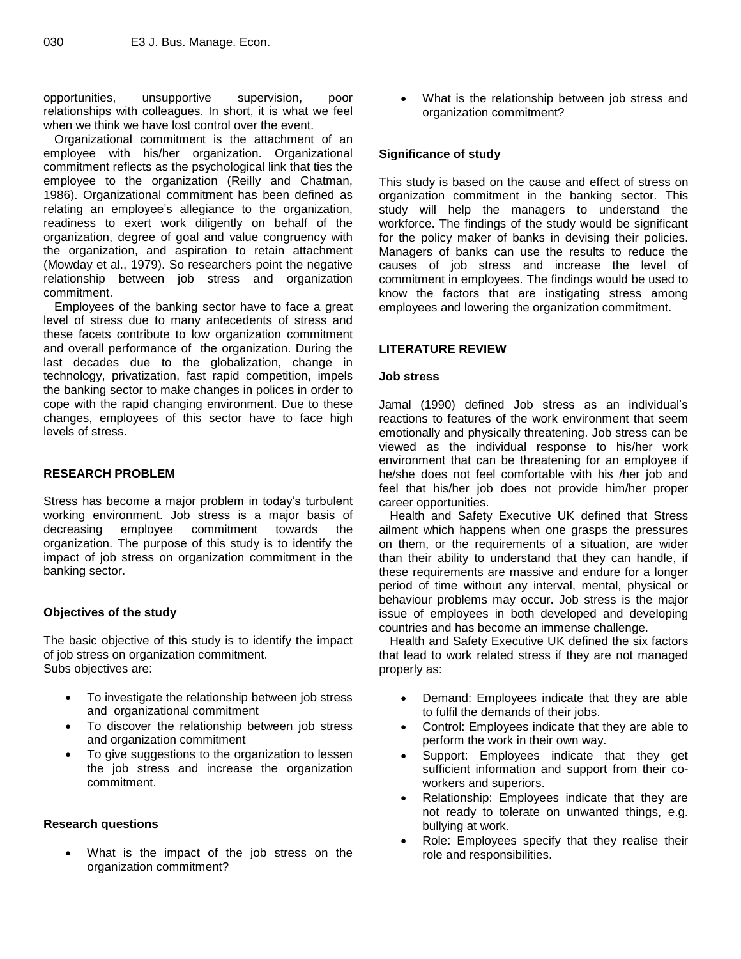opportunities, unsupportive supervision, poor relationships with colleagues. In short, it is what we feel when we think we have lost control over the event.

Organizational commitment is the attachment of an employee with his/her organization. Organizational commitment reflects as the psychological link that ties the employee to the organization (Reilly and Chatman, 1986). Organizational commitment has been defined as relating an employee's allegiance to the organization, readiness to exert work diligently on behalf of the organization, degree of goal and value congruency with the organization, and aspiration to retain attachment (Mowday et al., 1979). So researchers point the negative relationship between job stress and organization commitment.

Employees of the banking sector have to face a great level of stress due to many antecedents of stress and these facets contribute to low organization commitment and overall performance of the organization. During the last decades due to the globalization, change in technology, privatization, fast rapid competition, impels the banking sector to make changes in polices in order to cope with the rapid changing environment. Due to these changes, employees of this sector have to face high levels of stress.

# **RESEARCH PROBLEM**

Stress has become a major problem in today's turbulent working environment. Job stress is a major basis of decreasing employee commitment towards the organization. The purpose of this study is to identify the impact of job stress on organization commitment in the banking sector.

# **Objectives of the study**

The basic objective of this study is to identify the impact of job stress on organization commitment. Subs objectives are:

- To investigate the relationship between job stress and organizational commitment
- To discover the relationship between job stress and organization commitment
- To give suggestions to the organization to lessen the job stress and increase the organization commitment.

# **Research questions**

 What is the impact of the job stress on the organization commitment?

 What is the relationship between job stress and organization commitment?

# **Significance of study**

This study is based on the cause and effect of stress on organization commitment in the banking sector. This study will help the managers to understand the workforce. The findings of the study would be significant for the policy maker of banks in devising their policies. Managers of banks can use the results to reduce the causes of job stress and increase the level of commitment in employees. The findings would be used to know the factors that are instigating stress among employees and lowering the organization commitment.

# **LITERATURE REVIEW**

#### **Job stress**

Jamal (1990) defined Job stress as an individual's reactions to features of the work environment that seem emotionally and physically threatening. Job stress can be viewed as the individual response to his/her work environment that can be threatening for an employee if he/she does not feel comfortable with his /her job and feel that his/her job does not provide him/her proper career opportunities.

Health and Safety Executive UK defined that Stress ailment which happens when one grasps the pressures on them, or the requirements of a situation, are wider than their ability to understand that they can handle, if these requirements are massive and endure for a longer period of time without any interval, mental, physical or behaviour problems may occur. Job stress is the major issue of employees in both developed and developing countries and has become an immense challenge.

Health and Safety Executive UK defined the six factors that lead to work related stress if they are not managed properly as:

- Demand: Employees indicate that they are able to fulfil the demands of their jobs.
- Control: Employees indicate that they are able to perform the work in their own way.
- Support: Employees indicate that they get sufficient information and support from their coworkers and superiors.
- Relationship: Employees indicate that they are not ready to tolerate on unwanted things, e.g. bullying at work.
- Role: Employees specify that they realise their role and responsibilities.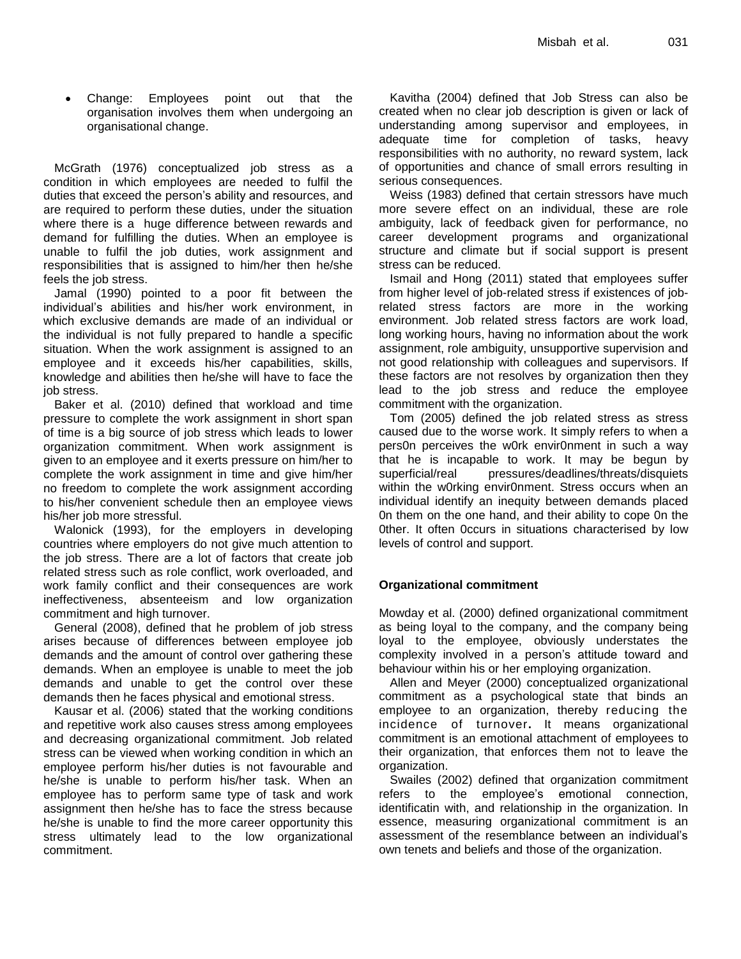Change: Employees point out that the organisation involves them when undergoing an organisational change.

McGrath (1976) conceptualized job stress as a condition in which employees are needed to fulfil the duties that exceed the person's ability and resources, and are required to perform these duties, under the situation where there is a huge difference between rewards and demand for fulfilling the duties. When an employee is unable to fulfil the job duties, work assignment and responsibilities that is assigned to him/her then he/she feels the job stress.

Jamal (1990) pointed to a poor fit between the individual's abilities and his/her work environment, in which exclusive demands are made of an individual or the individual is not fully prepared to handle a specific situation. When the work assignment is assigned to an employee and it exceeds his/her capabilities, skills, knowledge and abilities then he/she will have to face the job stress.

Baker et al. (2010) defined that workload and time pressure to complete the work assignment in short span of time is a big source of job stress which leads to lower organization commitment. When work assignment is given to an employee and it exerts pressure on him/her to complete the work assignment in time and give him/her no freedom to complete the work assignment according to his/her convenient schedule then an employee views his/her job more stressful.

Walonick (1993), for the employers in developing countries where employers do not give much attention to the job stress. There are a lot of factors that create job related stress such as role conflict, work overloaded, and work family conflict and their consequences are work ineffectiveness, absenteeism and low organization commitment and high turnover.

General (2008), defined that he problem of job stress arises because of differences between employee job demands and the amount of control over gathering these demands. When an employee is unable to meet the job demands and unable to get the control over these demands then he faces physical and emotional stress.

Kausar et al. (2006) stated that the working conditions and repetitive work also causes stress among employees and decreasing organizational commitment. Job related stress can be viewed when working condition in which an employee perform his/her duties is not favourable and he/she is unable to perform his/her task. When an employee has to perform same type of task and work assignment then he/she has to face the stress because he/she is unable to find the more career opportunity this stress ultimately lead to the low organizational commitment.

Kavitha (2004) defined that Job Stress can also be created when no clear job description is given or lack of understanding among supervisor and employees, in adequate time for completion of tasks, heavy responsibilities with no authority, no reward system, lack of opportunities and chance of small errors resulting in serious consequences.

Weiss (1983) defined that certain stressors have much more severe effect on an individual, these are role ambiguity, lack of feedback given for performance, no career development programs and organizational structure and climate but if social support is present stress can be reduced.

Ismail and Hong (2011) stated that employees suffer from higher level of job-related stress if existences of jobrelated stress factors are more in the working environment. Job related stress factors are work load, long working hours, having no information about the work assignment, role ambiguity, unsupportive supervision and not good relationship with colleagues and supervisors. If these factors are not resolves by organization then they lead to the job stress and reduce the employee commitment with the organization.

Tom (2005) defined the job related stress as stress caused due to the worse work. It simply refers to when a pers0n perceives the w0rk envir0nment in such a way that he is incapable to work. It may be begun by superficial/real pressures/deadlines/threats/disquiets within the w0rking envir0nment. Stress occurs when an individual identify an inequity between demands placed 0n them on the one hand, and their ability to cope 0n the 0ther. It often 0ccurs in situations characterised by low levels of control and support.

# **Organizational commitment**

Mowday et al. (2000) defined organizational commitment as being loyal to the company, and the company being loyal to the employee, obviously understates the complexity involved in a person's attitude toward and behaviour within his or her employing organization.

Allen and Meyer (2000) conceptualized organizational commitment as a psychological state that binds an employee to an organization, thereby reducing the incidence of turnover**.** It means organizational commitment is an emotional attachment of employees to their organization, that enforces them not to leave the organization.

Swailes (2002) defined that organization commitment refers to the employee's emotional connection, identificatin with, and relationship in the organization. In essence, measuring organizational commitment is an assessment of the resemblance between an individual's own tenets and beliefs and those of the organization.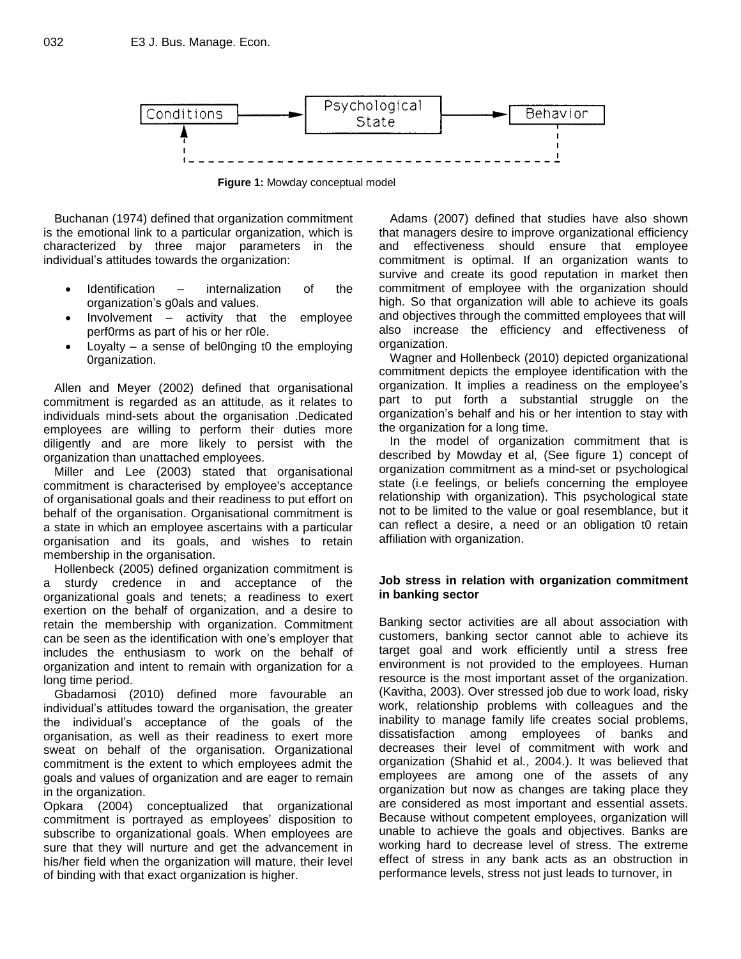

**Figure 1:** Mowday conceptual model

Buchanan (1974) defined that organization commitment is the emotional link to a particular organization, which is characterized by three major parameters in the individual's attitudes towards the organization:

- Identification internalization of the organization's g0als and values.
- Involvement activity that the employee perf0rms as part of his or her r0le.
- Loyalty a sense of bel0nging t0 the employing 0rganization.

Allen and Meyer (2002) defined that organisational commitment is regarded as an attitude, as it relates to individuals mind-sets about the organisation .Dedicated employees are willing to perform their duties more diligently and are more likely to persist with the organization than unattached employees.

Miller and Lee (2003) stated that organisational commitment is characterised by employee's acceptance of organisational goals and their readiness to put effort on behalf of the organisation. Organisational commitment is a state in which an employee ascertains with a particular organisation and its goals, and wishes to retain membership in the organisation.

Hollenbeck (2005) defined organization commitment is a sturdy credence in and acceptance of the organizational goals and tenets; a readiness to exert exertion on the behalf of organization, and a desire to retain the membership with organization. Commitment can be seen as the identification with one's employer that includes the enthusiasm to work on the behalf of organization and intent to remain with organization for a long time period.

Gbadamosi (2010) defined more favourable an individual's attitudes toward the organisation, the greater the individual's acceptance of the goals of the organisation, as well as their readiness to exert more sweat on behalf of the organisation. Organizational commitment is the extent to which employees admit the goals and values of organization and are eager to remain in the organization.

Opkara (2004) conceptualized that organizational commitment is portrayed as employees' disposition to subscribe to organizational goals. When employees are sure that they will nurture and get the advancement in his/her field when the organization will mature, their level of binding with that exact organization is higher.

Adams (2007) defined that studies have also shown that managers desire to improve organizational efficiency and effectiveness should ensure that employee commitment is optimal. If an organization wants to survive and create its good reputation in market then commitment of employee with the organization should high. So that organization will able to achieve its goals and objectives through the committed employees that will also increase the efficiency and effectiveness of organization.

Wagner and Hollenbeck (2010) depicted organizational commitment depicts the employee identification with the organization. It implies a readiness on the employee's part to put forth a substantial struggle on the organization's behalf and his or her intention to stay with the organization for a long time.

In the model of organization commitment that is described by Mowday et al, (See figure 1) concept of organization commitment as a mind-set or psychological state (i.e feelings, or beliefs concerning the employee relationship with organization). This psychological state not to be limited to the value or goal resemblance, but it can reflect a desire, a need or an obligation t0 retain affiliation with organization.

# **Job stress in relation with organization commitment in banking sector**

Banking sector activities are all about association with customers, banking sector cannot able to achieve its target goal and work efficiently until a stress free environment is not provided to the employees. Human resource is the most important asset of the organization. (Kavitha, 2003). Over stressed job due to work load, risky work, relationship problems with colleagues and the inability to manage family life creates social problems, dissatisfaction among employees of banks and decreases their level of commitment with work and organization (Shahid et al., 2004.). It was believed that employees are among one of the assets of any organization but now as changes are taking place they are considered as most important and essential assets. Because without competent employees, organization will unable to achieve the goals and objectives. Banks are working hard to decrease level of stress. The extreme effect of stress in any bank acts as an obstruction in performance levels, stress not just leads to turnover, in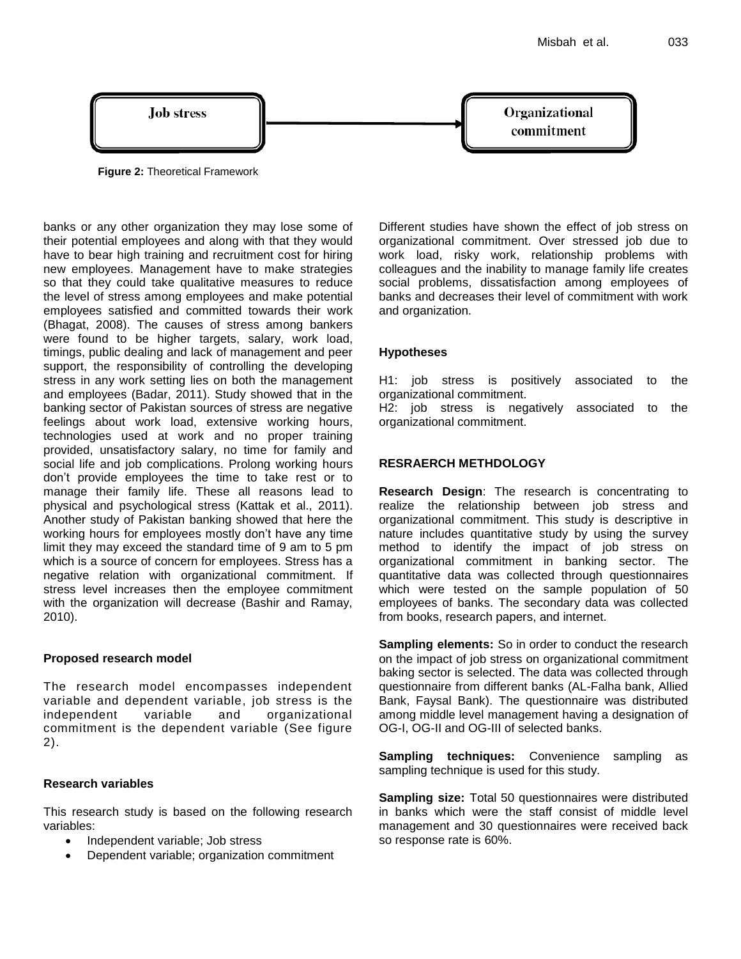

**Figure 2:** Theoretical Framework

banks or any other organization they may lose some of their potential employees and along with that they would have to bear high training and recruitment cost for hiring new employees. Management have to make strategies so that they could take qualitative measures to reduce the level of stress among employees and make potential employees satisfied and committed towards their work (Bhagat, 2008). The causes of stress among bankers were found to be higher targets, salary, work load, timings, public dealing and lack of management and peer support, the responsibility of controlling the developing stress in any work setting lies on both the management and employees (Badar, 2011). Study showed that in the banking sector of Pakistan sources of stress are negative feelings about work load, extensive working hours, technologies used at work and no proper training provided, unsatisfactory salary, no time for family and social life and job complications. Prolong working hours don't provide employees the time to take rest or to manage their family life. These all reasons lead to physical and psychological stress (Kattak et al., 2011). Another study of Pakistan banking showed that here the working hours for employees mostly don't have any time limit they may exceed the standard time of 9 am to 5 pm which is a source of concern for employees. Stress has a negative relation with organizational commitment. If stress level increases then the employee commitment with the organization will decrease (Bashir and Ramay, 2010).

# **Proposed research model**

The research model encompasses independent variable and dependent variable, job stress is the independent variable and organizational commitment is the dependent variable (See figure 2).

# **Research variables**

This research study is based on the following research variables:

- Independent variable; Job stress
- Dependent variable; organization commitment

Different studies have shown the effect of job stress on organizational commitment. Over stressed job due to work load, risky work, relationship problems with colleagues and the inability to manage family life creates social problems, dissatisfaction among employees of banks and decreases their level of commitment with work and organization.

# **Hypotheses**

H1: job stress is positively associated to the organizational commitment.

H2: job stress is negatively associated to the organizational commitment.

# **RESRAERCH METHDOLOGY**

**Research Design**: The research is concentrating to realize the relationship between job stress and organizational commitment. This study is descriptive in nature includes quantitative study by using the survey method to identify the impact of job stress on organizational commitment in banking sector. The quantitative data was collected through questionnaires which were tested on the sample population of 50 employees of banks. The secondary data was collected from books, research papers, and internet.

**Sampling elements:** So in order to conduct the research on the impact of job stress on organizational commitment baking sector is selected. The data was collected through questionnaire from different banks (AL-Falha bank, Allied Bank, Faysal Bank). The questionnaire was distributed among middle level management having a designation of OG-I, OG-II and OG-III of selected banks.

**Sampling techniques:** Convenience sampling as sampling technique is used for this study.

**Sampling size:** Total 50 questionnaires were distributed in banks which were the staff consist of middle level management and 30 questionnaires were received back so response rate is 60%.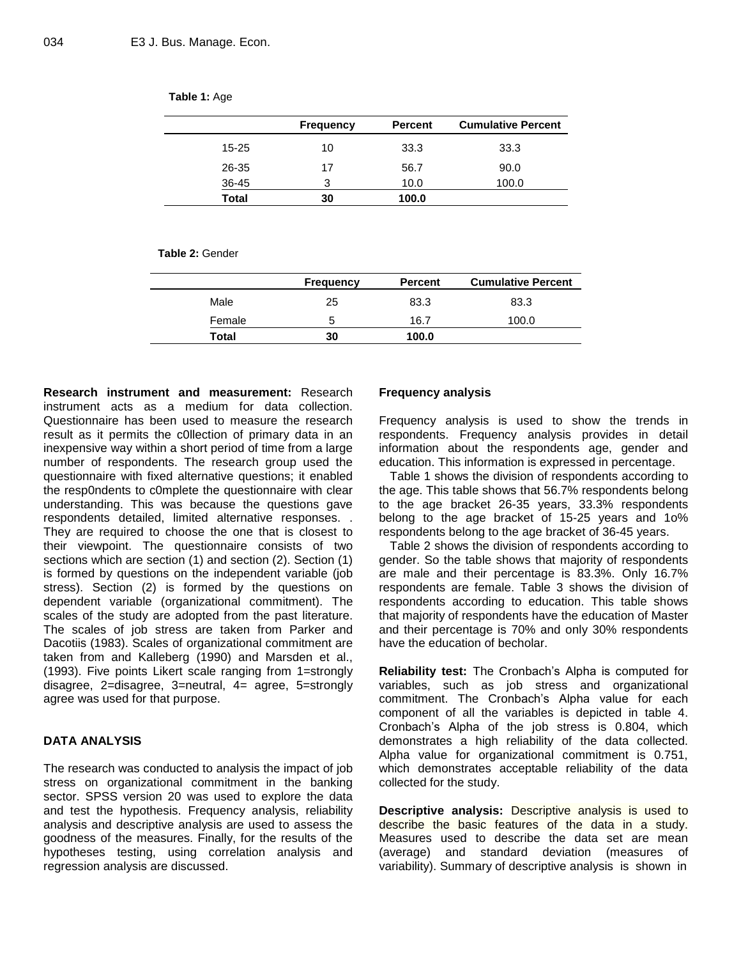**Table 1:** Age

|  | <b>Frequency</b> |
|--|------------------|
|  |                  |

|              | <b>Frequency</b> | <b>Percent</b> | <b>Cumulative Percent</b> |
|--------------|------------------|----------------|---------------------------|
| $15 - 25$    | 10               | 33.3           | 33.3                      |
| 26-35        | 17               | 56.7           | 90.0                      |
| 36-45        | 3                | 10.0           | 100.0                     |
| <b>Total</b> | 30               | 100.0          |                           |

**Table 2:** Gender

|              | <b>Percent</b><br><b>Frequency</b> |       | <b>Cumulative Percent</b> |
|--------------|------------------------------------|-------|---------------------------|
| Male         | 25                                 | 83.3  | 83.3                      |
| Female       |                                    | 16.7  | 100.0                     |
| <b>Total</b> | 30                                 | 100.0 |                           |

**Research instrument and measurement:** Research instrument acts as a medium for data collection. Questionnaire has been used to measure the research result as it permits the c0llection of primary data in an inexpensive way within a short period of time from a large number of respondents. The research group used the questionnaire with fixed alternative questions; it enabled the resp0ndents to c0mplete the questionnaire with clear understanding. This was because the questions gave respondents detailed, limited alternative responses. . They are required to choose the one that is closest to their viewpoint. The questionnaire consists of two sections which are section (1) and section (2). Section (1) is formed by questions on the independent variable (job stress). Section (2) is formed by the questions on dependent variable (organizational commitment). The scales of the study are adopted from the past literature. The scales of job stress are taken from Parker and Dacotiis (1983). Scales of organizational commitment are taken from and Kalleberg (1990) and Marsden et al., (1993). Five points Likert scale ranging from 1=strongly disagree, 2=disagree, 3=neutral, 4= agree, 5=strongly agree was used for that purpose.

# **DATA ANALYSIS**

The research was conducted to analysis the impact of job stress on organizational commitment in the banking sector. SPSS version 20 was used to explore the data and test the hypothesis. Frequency analysis, reliability analysis and descriptive analysis are used to assess the goodness of the measures. Finally, for the results of the hypotheses testing, using correlation analysis and regression analysis are discussed.

# **Frequency analysis**

Frequency analysis is used to show the trends in respondents. Frequency analysis provides in detail information about the respondents age, gender and education. This information is expressed in percentage.

Table 1 shows the division of respondents according to the age. This table shows that 56.7% respondents belong to the age bracket 26-35 years, 33.3% respondents belong to the age bracket of 15-25 years and 1o% respondents belong to the age bracket of 36-45 years.

Table 2 shows the division of respondents according to gender. So the table shows that majority of respondents are male and their percentage is 83.3%. Only 16.7% respondents are female. Table 3 shows the division of respondents according to education. This table shows that majority of respondents have the education of Master and their percentage is 70% and only 30% respondents have the education of becholar.

**Reliability test:** The Cronbach's Alpha is computed for variables, such as job stress and organizational commitment. The Cronbach's Alpha value for each component of all the variables is depicted in table 4. Cronbach's Alpha of the job stress is 0.804, which demonstrates a high reliability of the data collected. Alpha value for organizational commitment is 0.751, which demonstrates acceptable reliability of the data collected for the study.

**Descriptive analysis:** Descriptive analysis is used to describe the basic features of the data in a study. Measures used to describe the data set are mean (average) and standard deviation (measures of variability). Summary of descriptive analysis is shown in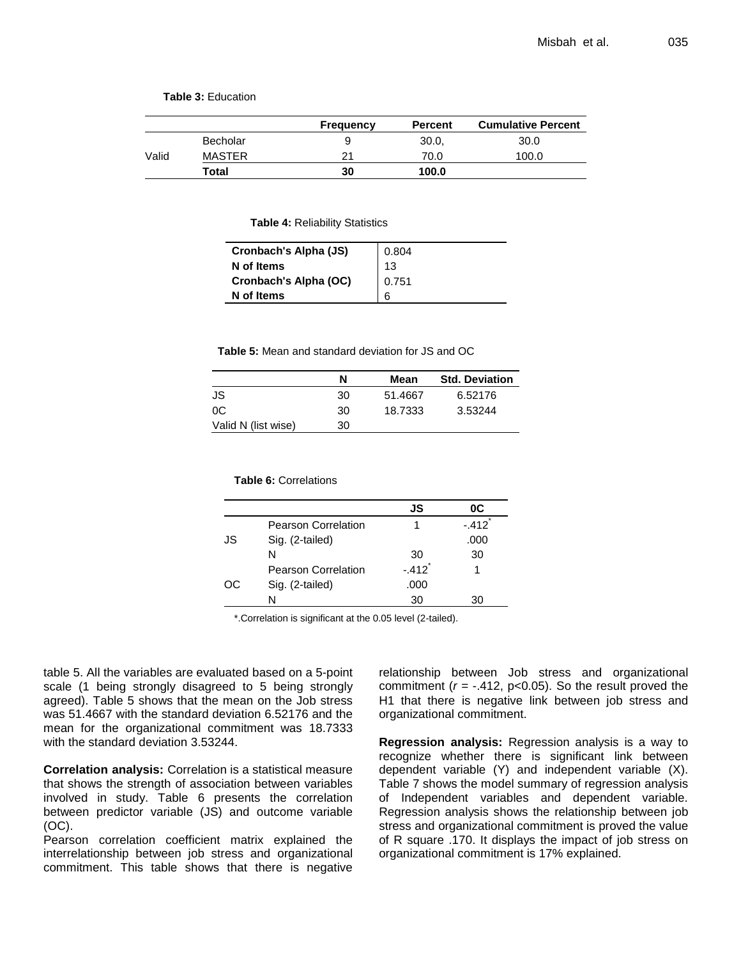**Table 3:** Education

|       |               | Frequency | <b>Percent</b> | <b>Cumulative Percent</b> |
|-------|---------------|-----------|----------------|---------------------------|
|       | Becholar      |           | 30.0.          | 30.0                      |
| Valid | <b>MASTER</b> | 21        | 70.0           | 100.0                     |
|       | Total         | 30        | 100.0          |                           |

**Table 4:** Reliability Statistics

| Cronbach's Alpha (JS) | 0.804 |
|-----------------------|-------|
| N of Items            | 13    |
| Cronbach's Alpha (OC) | 0.751 |
| N of Items            | 6     |

**Table 5:** Mean and standard deviation for JS and OC

|                     | N  | Mean    | <b>Std. Deviation</b> |
|---------------------|----|---------|-----------------------|
| JS                  | 30 | 51.4667 | 6.52176               |
| 0C                  | 30 | 18.7333 | 3.53244               |
| Valid N (list wise) | 30 |         |                       |

|    |                            | JS                   | 0C      |
|----|----------------------------|----------------------|---------|
|    | <b>Pearson Correlation</b> |                      | $-.412$ |
| JS | Sig. (2-tailed)            |                      | .000    |
|    | N                          | 30                   | 30      |
|    | <b>Pearson Correlation</b> | $-.412$ <sup>*</sup> |         |
| ОC | Sig. (2-tailed)            | .000                 |         |
|    | N                          | 30                   | 30      |

\*.Correlation is significant at the 0.05 level (2-tailed).

table 5. All the variables are evaluated based on a 5-point scale (1 being strongly disagreed to 5 being strongly agreed). Table 5 shows that the mean on the Job stress was 51.4667 with the standard deviation 6.52176 and the mean for the organizational commitment was 18.7333 with the standard deviation 3.53244.

**Correlation analysis:** Correlation is a statistical measure that shows the strength of association between variables involved in study. Table 6 presents the correlation between predictor variable (JS) and outcome variable (OC).

Pearson correlation coefficient matrix explained the interrelationship between job stress and organizational commitment. This table shows that there is negative

relationship between Job stress and organizational commitment  $(r = -.412, p < 0.05)$ . So the result proved the H1 that there is negative link between job stress and organizational commitment.

**Regression analysis:** Regression analysis is a way to recognize whether there is significant link between dependent variable (Y) and independent variable (X). Table 7 shows the model summary of regression analysis of Independent variables and dependent variable. Regression analysis shows the relationship between job stress and organizational commitment is proved the value of R square .170. It displays the impact of job stress on organizational commitment is 17% explained.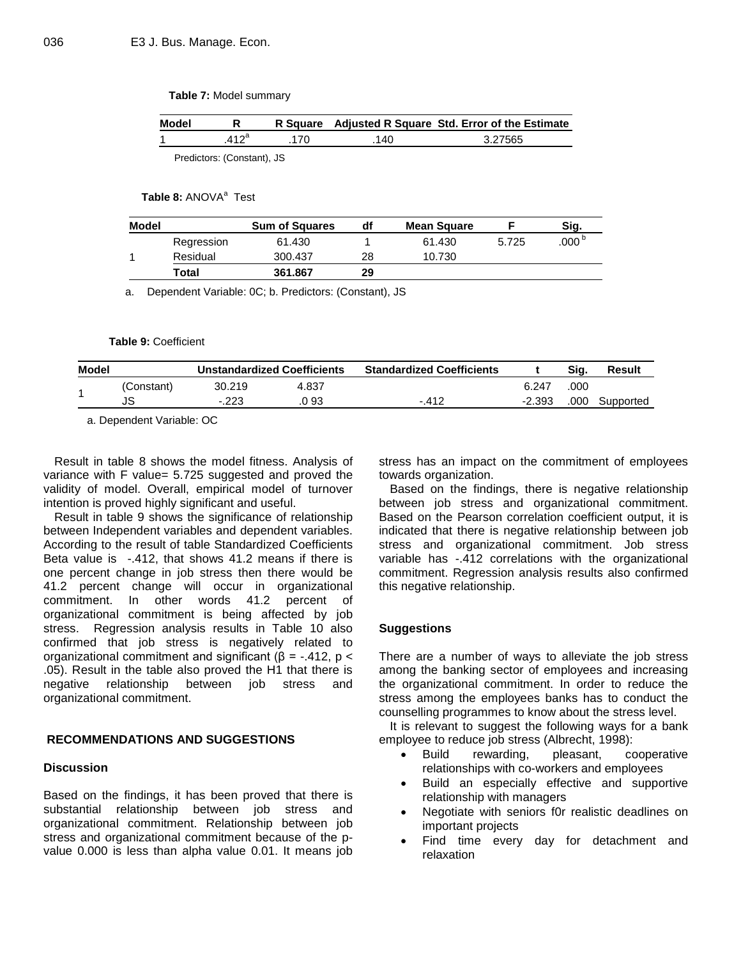#### **Table 7:** Model summary

| Model |         |     |     | R Square Adjusted R Square Std. Error of the Estimate |
|-------|---------|-----|-----|-------------------------------------------------------|
|       | $412^a$ | 170 | 140 | 3.27565                                               |
|       |         |     |     |                                                       |

Predictors: (Constant), JS

# **Table 8: ANOVA<sup>a</sup> Test**

| Model |            | <b>Sum of Squares</b> | df | <b>Mean Square</b> |       | Sig.              |
|-------|------------|-----------------------|----|--------------------|-------|-------------------|
|       | Regression | 61.430                |    | 61.430             | 5.725 | .000 <sup>b</sup> |
|       | Residual   | 300.437               | 28 | 10.730             |       |                   |
|       | Total      | 361.867               | 29 |                    |       |                   |

a. Dependent Variable: 0C; b. Predictors: (Constant), JS

#### **Table 9:** Coefficient

| Model |            |        | <b>Unstandardized Coefficients</b> | <b>Standardized Coefficients</b> |          | Sia. | Result    |
|-------|------------|--------|------------------------------------|----------------------------------|----------|------|-----------|
|       | (Constant) | 30.219 | 4.837                              |                                  | 6.247    | .000 |           |
|       | JS         | $-223$ | .0 93                              | $-412$                           | $-2.393$ | .000 | Supported |

a. Dependent Variable: OC

Result in table 8 shows the model fitness. Analysis of variance with F value= 5.725 suggested and proved the validity of model. Overall, empirical model of turnover intention is proved highly significant and useful.

Result in table 9 shows the significance of relationship between Independent variables and dependent variables. According to the result of table Standardized Coefficients Beta value is -.412, that shows 41.2 means if there is one percent change in job stress then there would be 41.2 percent change will occur in organizational commitment. In other words 41.2 percent of organizational commitment is being affected by job stress. Regression analysis results in Table 10 also confirmed that job stress is negatively related to organizational commitment and significant ( $β = -.412$ ,  $p <$ .05). Result in the table also proved the H1 that there is negative relationship between job stress and organizational commitment.

# **RECOMMENDATIONS AND SUGGESTIONS**

# **Discussion**

Based on the findings, it has been proved that there is substantial relationship between job stress and organizational commitment. Relationship between job stress and organizational commitment because of the pvalue 0.000 is less than alpha value 0.01. It means job

stress has an impact on the commitment of employees towards organization.

Based on the findings, there is negative relationship between job stress and organizational commitment. Based on the Pearson correlation coefficient output, it is indicated that there is negative relationship between job stress and organizational commitment. Job stress variable has -.412 correlations with the organizational commitment. Regression analysis results also confirmed this negative relationship.

# **Suggestions**

There are a number of ways to alleviate the job stress among the banking sector of employees and increasing the organizational commitment. In order to reduce the stress among the employees banks has to conduct the counselling programmes to know about the stress level.

It is relevant to suggest the following ways for a bank employee to reduce job stress (Albrecht, 1998):

- Build rewarding, pleasant, cooperative relationships with co-workers and employees
- Build an especially effective and supportive relationship with managers
- Negotiate with seniors f0r realistic deadlines on important projects
- Find time every day for detachment and relaxation